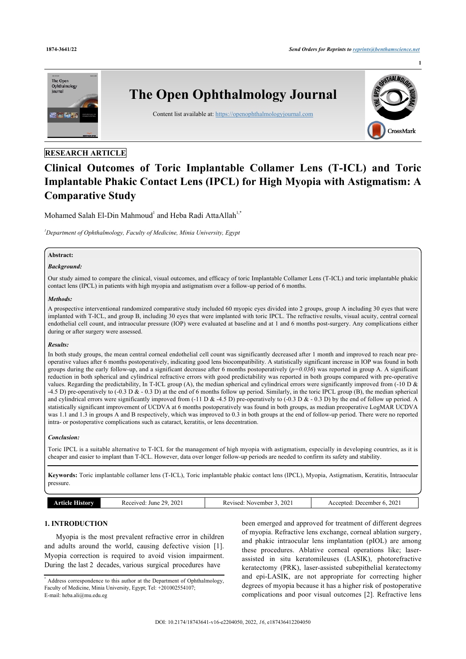

# **RESEARCH ARTICLE**

# **Clinical Outcomes of Toric Implantable Collamer Lens (T-ICL) and Toric Implantable Phakic Contact Lens (IPCL) for High Myopia with Astigmatism: A Comparative Study**

Mohamed Salah El-Din Mahmoud<sup>[1](#page-0-0)</sup> and Heba Radi AttaAllah<sup>[1,\\*](#page-0-0)</sup>

<span id="page-0-0"></span>*<sup>1</sup>Department of Ophthalmology, Faculty of Medicine, Minia University, Egypt*

# **Abstract:**

## *Background:*

Our study aimed to compare the clinical, visual outcomes, and efficacy of toric Implantable Collamer Lens (T-ICL) and toric implantable phakic contact lens (IPCL) in patients with high myopia and astigmatism over a follow-up period of 6 months.

## *Methods:*

A prospective interventional randomized comparative study included 60 myopic eyes divided into 2 groups, group A including 30 eyes that were implanted with T-ICL, and group B, including 30 eyes that were implanted with toric IPCL. The refractive results, visual acuity, central corneal endothelial cell count, and intraocular pressure (IOP) were evaluated at baseline and at 1 and 6 months post-surgery. Any complications either during or after surgery were assessed.

## *Results:*

In both study groups, the mean central corneal endothelial cell count was significantly decreased after 1 month and improved to reach near preoperative values after 6 months postoperatively, indicating good lens biocompatibility. A statistically significant increase in IOP was found in both groups during the early follow-up, and a significant decrease after 6 months postoperatively  $(p=0.036)$  was reported in group A. A significant reduction in both spherical and cylindrical refractive errors with good predictability was reported in both groups compared with pre-operative values. Regarding the predictability, In T-ICL group (A), the median spherical and cylindrical errors were significantly improved from (-10 D & -4.5 D) pre-operatively to (-0.3 D & - 0.3 D) at the end of 6 months follow up period. Similarly, in the toric IPCL group (B), the median spherical and cylindrical errors were significantly improved from  $(-11 \text{ D} \& 4.5 \text{ D})$  pre-operatively to  $(-0.3 \text{ D} \& -0.3 \text{ D})$  by the end of follow up period. A statistically significant improvement of UCDVA at 6 months postoperatively was found in both groups, as median preoperative LogMAR UCDVA was 1.1 and 1.3 in groups A and B respectively, which was improved to 0.3 in both groups at the end of follow-up period. There were no reported intra- or postoperative complications such as cataract, keratitis, or lens decentration.

## *Conclusion:*

Toric IPCL is a suitable alternative to T-ICL for the management of high myopia with astigmatism, especially in developing countries, as it is cheaper and easier to implant than T-ICL. However, data over longer follow-up periods are needed to confirm its safety and stability.

**Keywords:** Toric implantable collamer lens (T-ICL), Toric implantable phakic contact lens (IPCL), Myopia, Astigmatism, Keratitis, Intraocular pressure.

# **1. INTRODUCTION**

Myopia is the most prevalent refractive error in children and adults around the world, causing defective vision [\[1\]](#page-6-0). Myopia correction is required to avoid vision impairment. During the last 2 decades, various surgical procedures have

been emerged and approved for treatment of different degrees of myopia. Refractive lens exchange, corneal ablation surgery, and phakic intraocular lens implantation (pIOL) are among these procedures. Ablative corneal operations like; laserassisted in situ keratomileuses (LASIK), photorefractive keratectomy (PRK), laser-assisted subepithelial keratectomy and epi-LASIK, are not appropriate for correcting higher degrees of myopia because it has a higher risk of postoperative complications and poor visual outcomes [\[2](#page-6-1)]. Refractive lens

<sup>\*</sup> Address correspondence to this author at the Department of Ophthalmology, Faculty of Medicine, Minia University, Egypt; Tel: +201002554107; E-mail: [heba.ali@mu.edu.eg](mailto:heba.ali@mu.edu.eg)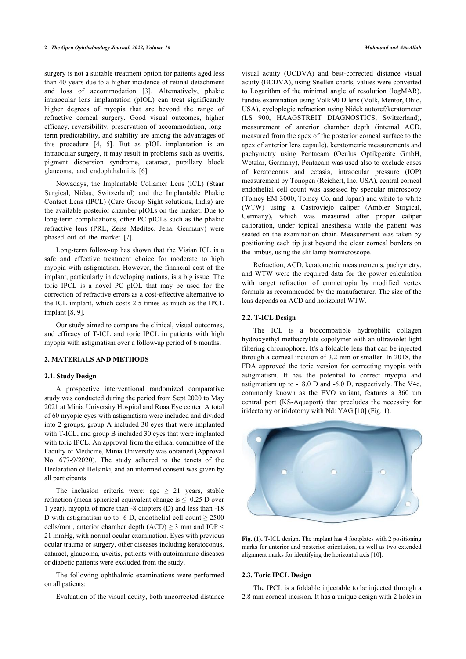surgery is not a suitable treatment option for patients aged less than 40 years due to a higher incidence of retinal detachment and loss of accommodation[[3\]](#page-6-2). Alternatively, phakic intraocular lens implantation (pIOL) can treat significantly higher degrees of myopia that are beyond the range of refractive corneal surgery. Good visual outcomes, higher efficacy, reversibility, preservation of accommodation, longterm predictability, and stability are among the advantages of this procedure[[4](#page-6-3), [5\]](#page-6-4). But as pIOL implantation is an intraocular surgery, it may result in problems such as uveitis, pigment dispersion syndrome, cataract, pupillary block glaucoma, and endophthalmitis[[6](#page-6-5)].

Nowadays, the Implantable Collamer Lens (ICL) (Staar Surgical, Nidau, Switzerland) and the Implantable Phakic Contact Lens (IPCL) (Care Group Sight solutions, India) are the available posterior chamber pIOLs on the market. Due to long-term complications, other PC pIOLs such as the phakic refractive lens (PRL, Zeiss Meditec, Jena, Germany) were phased out of the market[[7](#page-6-6)].

Long-term follow-up has shown that the Visian ICL is a safe and effective treatment choice for moderate to high myopia with astigmatism. However, the financial cost of the implant, particularly in developing nations, is a big issue. The toric IPCL is a novel PC pIOL that may be used for the correction of refractive errors as a cost-effective alternative to the ICL implant, which costs 2.5 times as much as the IPCL implant [\[8,](#page-6-7) [9\]](#page-6-8).

Our study aimed to compare the clinical, visual outcomes, and efficacy of T-ICL and toric IPCL in patients with high myopia with astigmatism over a follow-up period of 6 months.

#### **2. MATERIALS AND METHODS**

## **2.1. Study Design**

<span id="page-1-0"></span>A prospective interventional randomized comparative study was conducted during the period from Sept 2020 to May 2021 at Minia University Hospital and Roaa Eye center. A total of 60 myopic eyes with astigmatism were included and divided into 2 groups, group A included 30 eyes that were implanted with T-ICL, and group B included 30 eyes that were implanted with toric IPCL. An approval from the ethical committee of the Faculty of Medicine, Minia University was obtained (Approval No: 677-9/2020). The study adhered to the tenets of the Declaration of Helsinki, and an informed consent was given by all participants.

The inclusion criteria were: age  $\geq$  21 years, stable refraction (mean spherical equivalent change is  $\leq$  -0.25 D over 1 year), myopia of more than -8 diopters (D) and less than -18 D with astigmatism up to -6 D, endothelial cell count  $\geq$  2500 cells/mm<sup>2</sup>, anterior chamber depth (ACD)  $\geq$  3 mm and IOP < 21 mmHg, with normal ocular examination. Eyes with previous ocular trauma or surgery, other diseases including keratoconus, cataract, glaucoma, uveitis, patients with autoimmune diseases or diabetic patients were excluded from the study.

The following ophthalmic examinations were performed on all patients:

Evaluation of the visual acuity, both uncorrected distance

visual acuity (UCDVA) and best-corrected distance visual acuity (BCDVA), using Snellen charts, values were converted to Logarithm of the minimal angle of resolution (logMAR), fundus examination using Volk 90 D lens (Volk, Mentor, Ohio, USA), cycloplegic refraction using Nidek autoref/keratometer (LS 900, HAAGSTREIT DIAGNOSTICS, Switzerland), measurement of anterior chamber depth (internal ACD, measured from the apex of the posterior corneal surface to the apex of anterior lens capsule), keratometric measurements and pachymetry using Pentacam (Oculus Optikgeräte GmbH, Wetzlar, Germany), Pentacam was used also to exclude cases of keratoconus and ectasia, intraocular pressure (IOP) measurement by Tonopen (Reichert, Inc. USA), central corneal endothelial cell count was assessed by specular microscopy (Tomey EM-3000, Tomey Co, and Japan) and white-to-white (WTW) using a Castroviejo caliper (Ambler Surgical, Germany), which was measured after proper caliper calibration, under topical anesthesia while the patient was seated on the examination chair. Measurement was taken by positioning each tip just beyond the clear corneal borders on the limbus, using the slit lamp biomicroscope.

Refraction, ACD, keratometric measurements, pachymetry, and WTW were the required data for the power calculation with target refraction of emmetropia by modified vertex formula as recommended by the manufacturer. The size of the lens depends on ACD and horizontal WTW.

#### **2.2. T-ICL Design**

The ICL is a biocompatible hydrophilic collagen hydroxyethyl methacrylate copolymer with an ultraviolet light filtering chromophore. It's a foldable lens that can be injected through a corneal incision of 3.2 mm or smaller. In 2018, the FDA approved the toric version for correcting myopia with astigmatism. It has the potential to correct myopia and astigmatism up to -18.0 D and -6.0 D, respectively. The V4c, commonly known as the EVO variant, features a 360 um central port (KS-Aquaport) that precludes the necessity for iridectomy or iridotomy with Nd: YAG [\[10](#page-6-9)] (Fig. **[1](#page-1-0)**).



**Fig. (1).** T-ICL design. The implant has 4 footplates with 2 positioning marks for anterior and posterior orientation, as well as two extended alignment marks for identifying the horizontal axis [[10\]](#page-6-9).

## **2.3. Toric IPCL Design**

The IPCL is a foldable injectable to be injected through a 2.8 mm corneal incision. It has a unique design with 2 holes in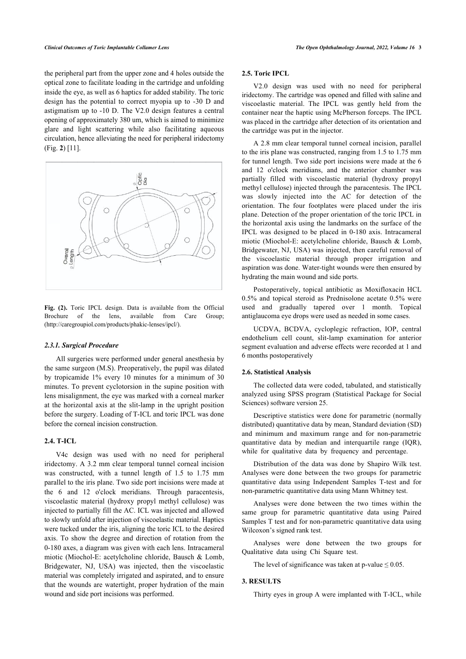the peripheral part from the upper zone and 4 holes outside the optical zone to facilitate loading in the cartridge and unfolding inside the eye, as well as 6 haptics for added stability. The toric design has the potential to correct myopia up to -30 D and astigmatism up to -10 D. The V2.0 design features a central opening of approximately 380 um, which is aimed to minimize glare and light scattering while also facilitating aqueous circulation, hence alleviating the need for peripheral iridectomy (Fig. **[2](#page-2-0)**) [[11\]](#page-6-10).

<span id="page-2-0"></span>

**Fig. (2).** Toric IPCL design. Data is available from the Official Brochure of the lens, available from Care Group; [\(http://caregroupiol.com/products/phakic-lenses/ipcl/\)](http://caregroupiol.com/products/phakic-lenses/ipcl/).

## *2.3.1. Surgical Procedure*

All surgeries were performed under general anesthesia by the same surgeon (M.S). Preoperatively, the pupil was dilated by tropicamide 1% every 10 minutes for a minimum of 30 minutes. To prevent cyclotorsion in the supine position with lens misalignment, the eye was marked with a corneal marker at the horizontal axis at the slit-lamp in the upright position before the surgery. Loading of T-ICL and toric IPCL was done before the corneal incision construction.

## **2.4. T-ICL**

V4c design was used with no need for peripheral iridectomy. A 3.2 mm clear temporal tunnel corneal incision was constructed, with a tunnel length of 1.5 to 1.75 mm parallel to the iris plane. Two side port incisions were made at the 6 and 12 o'clock meridians. Through paracentesis, viscoelastic material (hydroxy propyl methyl cellulose) was injected to partially fill the AC. ICL was injected and allowed to slowly unfold after injection of viscoelastic material. Haptics were tucked under the iris, aligning the toric ICL to the desired axis. To show the degree and direction of rotation from the 0-180 axes, a diagram was given with each lens. Intracameral miotic (Miochol-E: acetylcholine chloride, Bausch & Lomb, Bridgewater, NJ, USA) was injected, then the viscoelastic material was completely irrigated and aspirated, and to ensure that the wounds are watertight, proper hydration of the main wound and side port incisions was performed.

## **2.5. Toric IPCL**

V2.0 design was used with no need for peripheral iridectomy. The cartridge was opened and filled with saline and viscoelastic material. The IPCL was gently held from the container near the haptic using McPherson forceps. The IPCL was placed in the cartridge after detection of its orientation and the cartridge was put in the injector.

A 2.8 mm clear temporal tunnel corneal incision, parallel to the iris plane was constructed, ranging from 1.5 to 1.75 mm for tunnel length. Two side port incisions were made at the 6 and 12 o'clock meridians, and the anterior chamber was partially filled with viscoelastic material (hydroxy propyl methyl cellulose) injected through the paracentesis. The IPCL was slowly injected into the AC for detection of the orientation. The four footplates were placed under the iris plane. Detection of the proper orientation of the toric IPCL in the horizontal axis using the landmarks on the surface of the IPCL was designed to be placed in 0-180 axis. Intracameral miotic (Miochol-E: acetylcholine chloride, Bausch & Lomb, Bridgewater, NJ, USA) was injected, then careful removal of the viscoelastic material through proper irrigation and aspiration was done. Water-tight wounds were then ensured by hydrating the main wound and side ports.

Postoperatively, topical antibiotic as Moxifloxacin HCL 0.5% and topical steroid as Prednisolone acetate 0.5% were used and gradually tapered over 1 month. Topical antiglaucoma eye drops were used as needed in some cases.

UCDVA, BCDVA, cycloplegic refraction, IOP, central endothelium cell count, slit-lamp examination for anterior segment evaluation and adverse effects were recorded at 1 and 6 months postoperatively

#### **2.6. Statistical Analysis**

The collected data were coded, tabulated, and statistically analyzed using SPSS program (Statistical Package for Social Sciences) software version 25.

Descriptive statistics were done for parametric (normally distributed) quantitative data by mean, Standard deviation (SD) and minimum and maximum range and for non-parametric quantitative data by median and interquartile range (IQR), while for qualitative data by frequency and percentage.

Distribution of the data was done by Shapiro Wilk test. Analyses were done between the two groups for parametric quantitative data using Independent Samples T-test and for non-parametric quantitative data using Mann Whitney test.

Analyses were done between the two times within the same group for parametric quantitative data using Paired Samples T test and for non-parametric quantitative data using Wilcoxon's signed rank test.

Analyses were done between the two groups for Qualitative data using Chi Square test.

The level of significance was taken at p-value  $\leq 0.05$ .

## **3. RESULTS**

Thirty eyes in group A were implanted with T-ICL, while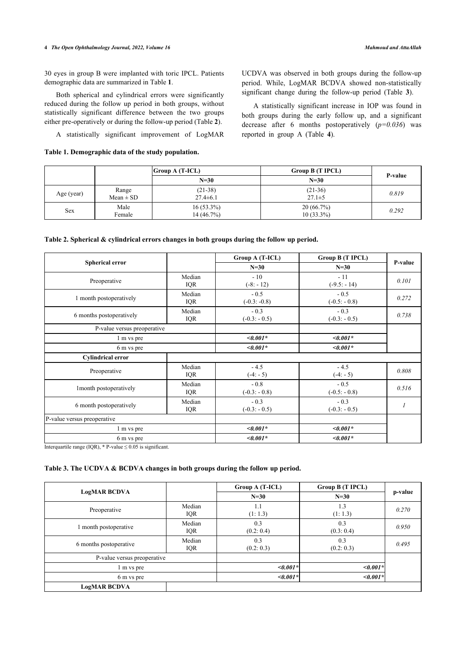## **4** *The Open Ophthalmology Journal, 2022, Volume 16 Mahmoud and AttaAllah*

30 eyes in group B were implanted with toric IPCL. Patients demographic data are summarized in Table **[1](#page-3-0)**.

Both spherical and cylindrical errors were significantly reduced during the follow up period in both groups, without statistically significant difference between the two groups either pre-operatively or during the follow-up period (Table **[2](#page-3-1)**).

A statistically significant improvement of LogMAR

# <span id="page-3-0"></span>**Table 1. Demographic data of the study population.**

UCDVA was observed in both groups during the follow-up period. While, LogMAR BCDVA showed non-statistically significant change during the follow-up period (Table**3**).

A statistically significant increase in IOP was found in both groups during the early follow up, and a significant decrease after 6 months postoperatively (*p=0.036*) was reported in group A (Table**4**).

|            |                        | $ Group\ A(T-ICL) $          | Group B (T IPCL)          | P-value |  |
|------------|------------------------|------------------------------|---------------------------|---------|--|
|            |                        | $N=30$                       | $N=30$                    |         |  |
| Age (year) | Range<br>$Mean \pm SD$ | $(21-38)$<br>$27.4 \pm 6.1$  | $(21-36)$<br>$27.1 \pm 5$ | 0.819   |  |
| <b>Sex</b> | Male<br>Female         | $16(53.3\%)$<br>$14(46.7\%)$ | 20(66.7%)<br>$10(33.3\%)$ | 0.292   |  |

<span id="page-3-1"></span>

| Table 2. Spherical $\&$ cylindrical errors changes in both groups during the follow up period. |  |  |  |
|------------------------------------------------------------------------------------------------|--|--|--|
|                                                                                                |  |  |  |

|                             |                      | Group A (T-ICL)          | Group B (T IPCL)         |         |
|-----------------------------|----------------------|--------------------------|--------------------------|---------|
| <b>Spherical error</b>      |                      | $N=30$                   | $N=30$                   | P-value |
| Preoperative                | Median<br>IQR        | $-10$<br>$(-8: -12)$     | $-11$<br>$(-9.5: -14)$   | 0.101   |
| 1 month postoperatively     | Median<br><b>IQR</b> | $-0.5$<br>$(-0.3: -0.8)$ | $-0.5$<br>$(-0.5:-0.8)$  | 0.272   |
| 6 months postoperatively    | Median<br><b>IQR</b> | $-0.3$<br>$(-0.3: -0.5)$ | $-0.3$<br>$(-0.3:-0.5)$  | 0.738   |
| P-value versus preoperative |                      |                          |                          |         |
| 1 m vs pre                  |                      | $<0.001*$                | $\leq 0.001*$            |         |
| 6 m vs pre                  |                      | $<0.001*$                | $\leq 0.001*$            |         |
| <b>Cylindrical error</b>    |                      |                          |                          |         |
| Preoperative                | Median<br>IQR        | $-4.5$<br>$(-4: -5)$     | $-4.5$<br>$(-4: -5)$     | 0.808   |
| 1 month postoperatively     | Median<br><b>IQR</b> | $-0.8$<br>$(-0.3:-0.8)$  | $-0.5$<br>$(-0.5:-0.8)$  | 0.516   |
| 6 month postoperatively     | Median<br><b>IQR</b> | $-0.3$<br>$(-0.3: -0.5)$ | $-0.3$<br>$(-0.3: -0.5)$ |         |
| P-value versus preoperative |                      |                          |                          |         |
| 1 m vs pre                  |                      | $< 0.001*$               | $\leq 0.001*$            |         |
| 6 m vs pre                  |                      | $< 0.001*$               | $\leq 0.001*$            |         |

Interquartile range (IQR),  $*$  P-value  $\leq 0.05$  is significant.

## <span id="page-3-2"></span>**Table 3. The UCDVA & BCDVA changes in both groups during the follow up period.**

|                             |                      | Group A (T-ICL)   | Group B (T IPCL) |         |
|-----------------------------|----------------------|-------------------|------------------|---------|
| <b>LogMAR BCDVA</b>         |                      | $N=30$            | $N=30$           | p-value |
| Preoperative                | Median<br><b>IQR</b> | 1.1<br>(1:1.3)    | 1.3<br>(1:1.3)   | 0.270   |
| 1 month postoperative       | Median<br><b>IQR</b> | 0.3<br>(0.2: 0.4) | 0.3<br>(0.3:0.4) | 0.950   |
| 6 months postoperative      | Median<br><b>IQR</b> | 0.3<br>(0.2: 0.3) | 0.3<br>(0.2:0.3) | 0.495   |
| P-value versus preoperative |                      |                   |                  |         |
| 1 m vs pre                  |                      | $\leq 0.001*$     | $< 0.001*$       |         |
| 6 m vs pre                  |                      | $\leq 0.001*$     | $\leq 0.001*$    |         |
| <b>LogMAR BCDVA</b>         |                      |                   |                  |         |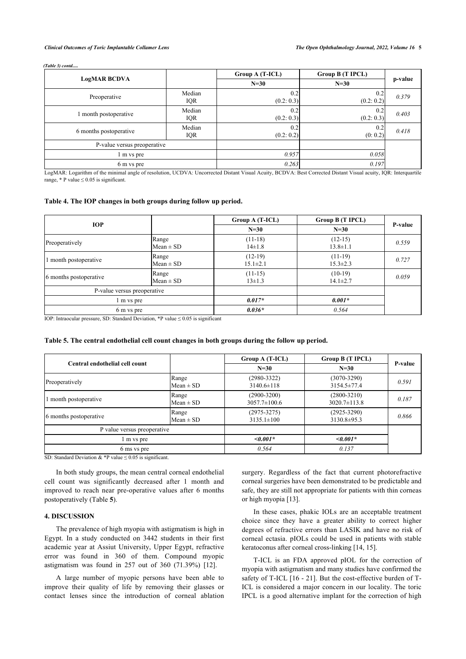#### *(Table 3) contd.....*

|                             |                      | Group A (T-ICL)   | Group B (T IPCL)  |         |
|-----------------------------|----------------------|-------------------|-------------------|---------|
| <b>LogMAR BCDVA</b>         |                      | $N=30$            | $N=30$            | p-value |
| Preoperative                | Median<br><b>IQR</b> | 0.2<br>(0.2: 0.3) | 0.2<br>(0.2:0.2)  | 0.379   |
| 1 month postoperative       | Median<br><b>IQR</b> | 0.2<br>(0.2: 0.3) | 0.2<br>(0.2: 0.3) | 0.403   |
| 6 months postoperative      | Median<br>IQR        | 0.2<br>(0.2: 0.2) | 0.2<br>(0:0.2)    | 0.418   |
| P-value versus preoperative |                      |                   |                   |         |
| 1 m vs pre                  |                      | 0.957             | 0.058             |         |
| 6 m vs pre                  |                      | 0.263             | 0.197             |         |

LogMAR: Logarithm of the minimal angle of resolution, UCDVA: Uncorrected Distant Visual Acuity, BCDVA: Best Corrected Distant Visual acuity, IQR: Interquartile range,  $*$  P value  $\leq$  0.05 is significant.

## <span id="page-4-0"></span>**Table 4. The IOP changes in both groups during follow up period.**

| <b>IOP</b>                  |                        | $Group A (T-ICL)$           | Group B (T IPCL)            |         |
|-----------------------------|------------------------|-----------------------------|-----------------------------|---------|
|                             |                        | $N=30$                      | $N=30$                      | P-value |
| Preoperatively              | Range<br>$Mean \pm SD$ | $(11-18)$<br>$14 \pm 1.8$   | $(12-15)$<br>$13.8 \pm 1.1$ | 0.559   |
| 1 month postoperative       | Range<br>$Mean \pm SD$ | $(12-19)$<br>$15.1 \pm 2.1$ | $(11-19)$<br>$15.3 \pm 2.3$ | 0.727   |
| 6 months postoperative      | Range<br>$Mean \pm SD$ | $(11-15)$<br>$13 \pm 1.3$   | $(10-19)$<br>$14.1 \pm 2.7$ | 0.059   |
| P-value versus preoperative |                        |                             |                             |         |
| l m vs pre                  |                        | $0.017*$                    | $0.001*$                    |         |
| 6 m vs pre<br>$\cdots$      |                        | $0.036*$                    | 0.564                       |         |

IOP: Intraocular pressure, SD: Standard Deviation,  $*P$  value  $\leq 0.05$  is significant

## <span id="page-4-1"></span>**Table 5. The central endothelial cell count changes in both groups during the follow up period.**

|                                |                        | Group A (T-ICL)                     | Group B (T IPCL)                      |         |  |
|--------------------------------|------------------------|-------------------------------------|---------------------------------------|---------|--|
| Central endothelial cell count |                        | $N=30$                              | $N=30$                                | P-value |  |
| Preoperatively                 | Range<br>$Mean \pm SD$ | $(2980 - 3322)$<br>$3140.6 \pm 118$ | $(3070 - 3290)$<br>3154.5±77.4        | 0.591   |  |
| 1 month postoperative          | Range<br>$Mean \pm SD$ | $(2900-3200)$<br>$3057.7 \pm 100.6$ | $(2800 - 3210)$<br>$3020.7 \pm 113.8$ | 0.187   |  |
| 6 months postoperative         | Range<br>$Mean \pm SD$ | $(2975 - 3275)$<br>$3135.1 \pm 100$ | $(2925 - 3290)$<br>$3130.8 \pm 95.3$  | 0.866   |  |
| P value versus preoperative    |                        |                                     |                                       |         |  |
| m vs pre                       |                        | $\leq 0.001*$                       | $\leq 0.001*$                         |         |  |
| 6 ms vs pre                    |                        | 0.564                               | 0.137                                 |         |  |

SD: Standard Deviation  $&$  \*P value  $\leq$  0.05 is significant.

In both study groups, the mean central corneal endothelial cell count was significantly decreased after 1 month and improved to reach near pre-operative values after 6 months postoperatively (Table **[5](#page-4-1)**).

## **4. DISCUSSION**

The prevalence of high myopia with astigmatism is high in Egypt. In a study conducted on 3442 students in their first academic year at Assiut University, Upper Egypt, refractive error was found in 360 of them. Compound myopic astigmatism was found in 257 out of 360 (71.39%) [\[12](#page-6-11)].

A large number of myopic persons have been able to improve their quality of life by removing their glasses or contact lenses since the introduction of corneal ablation surgery. Regardless of the fact that current photorefractive corneal surgeries have been demonstrated to be predictable and safe, they are still not appropriate for patients with thin corneas or high myopia [\[13](#page-6-12)].

In these cases, phakic IOLs are an acceptable treatment choice since they have a greater ability to correct higher degrees of refractive errors than LASIK and have no risk of corneal ectasia. pIOLs could be used in patients with stable keratoconus after corneal cross-linking [\[14](#page-7-0), [15\]](#page-7-1).

T-ICL is an FDA approved pIOL for the correction of myopia with astigmatism and many studies have confirmed the safety of T-ICL [\[16](#page-7-2) - [21](#page-7-3)]. But the cost-effective burden of T-ICL is considered a major concern in our locality. The toric IPCL is a good alternative implant for the correction of high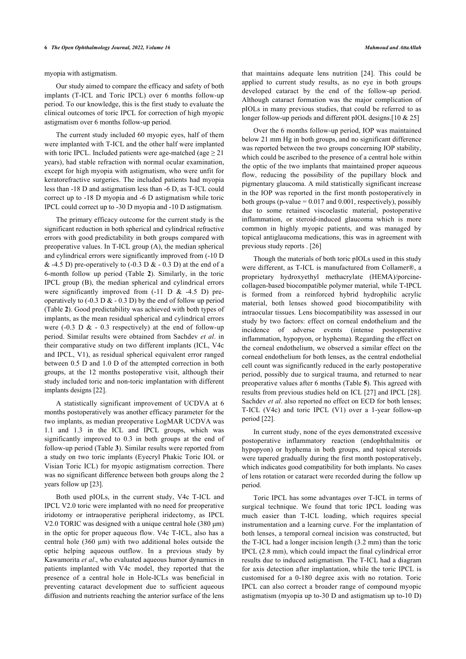myopia with astigmatism.

Our study aimed to compare the efficacy and safety of both implants (T-ICL and Toric IPCL) over 6 months follow-up period. To our knowledge, this is the first study to evaluate the clinical outcomes of toric IPCL for correction of high myopic astigmatism over 6 months follow-up period.

The current study included 60 myopic eyes, half of them were implanted with T-ICL and the other half were implanted with toric IPCL. Included patients were age-matched (age  $\geq$  21 years), had stable refraction with normal ocular examination, except for high myopia with astigmatism, who were unfit for keratorefractive surgeries. The included patients had myopia less than -18 D and astigmatism less than -6 D, as T-ICL could correct up to -18 D myopia and -6 D astigmatism while toric IPCL could correct up to -30 D myopia and -10 D astigmatism.

The primary efficacy outcome for the current study is the significant reduction in both spherical and cylindrical refractive errors with good predictability in both groups compared with preoperative values. In T-ICL group (A), the median spherical and cylindrical errors were significantly improved from (-10 D  $\&$  -4.5 D) pre-operatively to (-0.3 D  $\&$  - 0.3 D) at the end of a 6-month follow up period (Table**2**). Similarly, in the toric IPCL group (B), the median spherical and cylindrical errors were significantly improved from  $(-11 \text{ D} \& -4.5 \text{ D})$  preoperatively to  $(-0.3 \text{ D} \& -0.3 \text{ D})$  by the end of follow up period (Table **[2](#page-3-1)**). Good predictability was achieved with both types of implants, as the mean residual spherical and cylindrical errors were  $(-0.3 \text{ D} \& -0.3 \text{ respectively})$  at the end of follow-up period. Similar results were obtained from Sachdev *et al*. in their comparative study on two different implants (ICL, V4c and IPCL, V1), as residual spherical equivalent error ranged between 0.5 D and 1.0 D of the attempted correction in both groups, at the 12 months postoperative visit, although their study included toric and non-toric implantation with different implants designs [\[22](#page-7-4)].

A statistically significant improvement of UCDVA at 6 months postoperatively was another efficacy parameter for the two implants, as median preoperative LogMAR UCDVA was 1.1 and 1.3 in the ICL and IPCL groups, which was significantly improved to 0.3 in both groups at the end of follow-up period (Table **[3](#page-3-2)**). Similar results were reported from a study on two toric implants (Eyecryl Phakic Toric IOL or Visian Toric ICL) for myopic astigmatism correction. There was no significant difference between both groups along the 2 years follow up [[23\]](#page-7-5).

Both used pIOLs, in the current study, V4c T-ICL and IPCL V2.0 toric were implanted with no need for preoperative iridotomy or intraoperative peripheral iridectomy, as IPCL V2.0 TORIC was designed with a unique central hole (380 μm) in the optic for proper aqueous flow. V4c T-ICL, also has a central hole (360 μm) with two additional holes outside the optic helping aqueous outflow. In a previous study by Kawamorita *et al*., who evaluated aqueous humor dynamics in patients implanted with V4c model, they reported that the presence of a central hole in Hole-ICLs was beneficial in preventing cataract development due to sufficient aqueous diffusion and nutrients reaching the anterior surface of the lens that maintains adequate lens nutrition[[24\]](#page-7-6). This could be applied to current study results, as no eye in both groups developed cataract by the end of the follow-up period. Although cataract formation was the major complication of pIOLs in many previous studies, that could be referred to as longer follow-up periods and different pIOL designs.<sup>[10 & 25]</sup>

Over the 6 months follow-up period, IOP was maintained below 21 mm Hg in both groups, and no significant difference was reported between the two groups concerning IOP stability, which could be ascribed to the presence of a central hole within the optic of the two implants that maintained proper aqueous flow, reducing the possibility of the pupillary block and pigmentary glaucoma. A mild statistically significant increase in the IOP was reported in the first month postoperatively in both groups (p-value  $= 0.017$  and 0.001, respectively), possibly due to some retained viscoelastic material, postoperative inflammation, or steroid-induced glaucoma which is more common in highly myopic patients, and was managed by topical antiglaucoma medications, this was in agreement with previous study reports . [[26\]](#page-7-7)

Though the materials of both toric pIOLs used in this study were different, as T-ICL is manufactured from Collamer®, a proprietary hydroxyethyl methacrylate (HEMA)/porcinecollagen-based biocompatible polymer material, while T-IPCL is formed from a reinforced hybrid hydrophilic acrylic material, both lenses showed good biocompatibility with intraocular tissues. Lens biocompatibility was assessed in our study by two factors: effect on corneal endothelium and the incidence of adverse events (intense postoperative inflammation, hypopyon, or hyphema). Regarding the effect on the corneal endothelium, we observed a similar effect on the corneal endothelium for both lenses, as the central endothelial cell count was significantly reduced in the early postoperative period, possibly due to surgical trauma, and returned to near preoperative values after 6 months (Table **[5](#page-4-1)**). This agreed with results from previous studies held on ICL [\[27](#page-7-8)] and IPCL [\[28](#page-7-9)]. Sachdev *et al*. also reported no effect on ECD for both lenses; T-ICL (V4c) and toric IPCL (V1) over a 1-year follow-up period [\[22](#page-7-4)].

In current study, none of the eyes demonstrated excessive postoperative inflammatory reaction (endophthalmitis or hypopyon) or hyphema in both groups, and topical steroids were tapered gradually during the first month postoperatively, which indicates good compatibility for both implants. No cases of lens rotation or cataract were recorded during the follow up period.

Toric IPCL has some advantages over T-ICL in terms of surgical technique. We found that toric IPCL loading was much easier than T-ICL loading, which requires special instrumentation and a learning curve. For the implantation of both lenses, a temporal corneal incision was constructed, but the T-ICL had a longer incision length (3.2 mm) than the toric IPCL (2.8 mm), which could impact the final cylindrical error results due to induced astigmatism. The T-ICL had a diagram for axis detection after implantation, while the toric IPCL is customised for a 0-180 degree axis with no rotation. Toric IPCL can also correct a broader range of compound myopic astigmatism (myopia up to-30 D and astigmatism up to-10 D)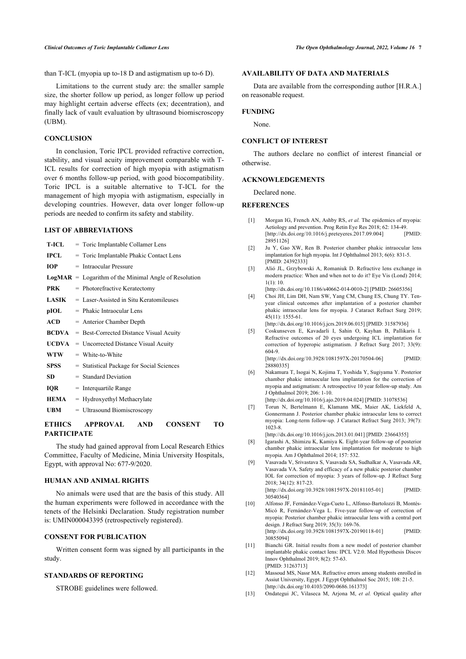than T-ICL (myopia up to-18 D and astigmatism up to-6 D).

Limitations to the current study are: the smaller sample size, the shorter follow up period, as longer follow up period may highlight certain adverse effects (ex; decentration), and finally lack of vault evaluation by ultrasound biomiscroscopy (UBM).

## **CONCLUSION**

In conclusion, Toric IPCL provided refractive correction, stability, and visual acuity improvement comparable with T-ICL results for correction of high myopia with astigmatism over 6 months follow-up period, with good biocompatibility. Toric IPCL is a suitable alternative to T-ICL for the management of high myopia with astigmatism, especially in developing countries. However, data over longer follow-up periods are needed to confirm its safety and stability.

## <span id="page-6-0"></span>**LIST OF ABBREVIATIONS**

<span id="page-6-4"></span><span id="page-6-3"></span><span id="page-6-2"></span><span id="page-6-1"></span>

| <b>T-ICL</b> | = Toric Implantable Collamer Lens                       |
|--------------|---------------------------------------------------------|
| <b>IPCL</b>  | = Toric Implantable Phakic Contact Lens                 |
| <b>IOP</b>   | $=$ Intraocular Pressure                                |
|              | $LogMAR = Logarithm of the Minimal Angle of Resolution$ |
| <b>PRK</b>   | = Photorefractive Keratectomy                           |
| LASIK        | $=$ Laser-Assisted in Situ Keratomileuses               |
| pIOL         | $=$ Phakic Intraocular Lens                             |
| ACD          | $=$ Anterior Chamber Depth                              |
| <b>BCDVA</b> | = Best-Corrected Distance Visual Acuity                 |
| UCDVA        | = Uncorrected Distance Visual Acuity                    |
| <b>WTW</b>   | $=$ White-to-White                                      |
| <b>SPSS</b>  | = Statistical Package for Social Sciences               |
| SD.          | $=$ Standard Deviation                                  |
| <b>IOR</b>   | $=$ Interquartile Range                                 |
| <b>HEMA</b>  | $=$ Hydroxyethyl Methacrylate                           |
| UBM          | = Ultrasound Biomiscroscopy                             |

# <span id="page-6-6"></span><span id="page-6-5"></span>**ETHICS APPROVAL AND CONSENT TO PARTICIPATE**

<span id="page-6-8"></span><span id="page-6-7"></span>The study had gained approval from Local Research Ethics Committee, Faculty of Medicine, Minia University Hospitals, Egypt, with approval No: 677-9/2020.

#### **HUMAN AND ANIMAL RIGHTS**

<span id="page-6-9"></span>No animals were used that are the basis of this study. All the human experiments were followed in accordance with the tenets of the Helsinki Declaration. Study registration number is: UMIN000043395 (retrospectively registered).

## **CONSENT FOR PUBLICATION**

<span id="page-6-10"></span>Written consent form was signed by all participants in the study.

# <span id="page-6-12"></span><span id="page-6-11"></span>**STANDARDS OF REPORTING**

STROBE guidelines were followed.

## **AVAILABILITY OF DATA AND MATERIALS**

Data are available from the corresponding author [H.R.A.] on reasonable request.

#### **FUNDING**

None.

## **CONFLICT OF INTEREST**

The authors declare no conflict of interest financial or otherwise.

#### **ACKNOWLEDGEMENTS**

Declared none.

## **REFERENCES**

- [1] Morgan IG, French AN, Ashby RS, *et al.* The epidemics of myopia: Aetiology and prevention. Prog Retin Eye Res 2018; 62: 134-49.<br>
Ihttp://dx.doi.org/10.1016/i preteveres 2017.09.0041 [PMID:  $[http://dx.doi.org/10.1016/j.preteyeres.2017.09.004]$ [28951126\]](http://www.ncbi.nlm.nih.gov/pubmed/28951126)
- [2] Ju Y, Gao XW, Ren B. Posterior chamber phakic intraocular lens implantation for high myopia. Int J Ophthalmol 2013; 6(6): 831-5. [PMID: [24392333\]](http://www.ncbi.nlm.nih.gov/pubmed/24392333)
- [3] Alió JL, Grzybowski A, Romaniuk D. Refractive lens exchange in modern practice: When and when not to do it? Eye Vis (Lond) 2014; 1(1): 10.
	- [\[http://dx.doi.org/10.1186/s40662-014-0010-2\]](http://dx.doi.org/10.1186/s40662-014-0010-2) [PMID: [26605356](http://www.ncbi.nlm.nih.gov/pubmed/26605356)]
- [4] Choi JH, Lim DH, Nam SW, Yang CM, Chung ES, Chung TY. Tenyear clinical outcomes after implantation of a posterior chamber phakic intraocular lens for myopia. J Cataract Refract Surg 2019; 45(11): 1555-61.

[\[http://dx.doi.org/10.1016/j.jcrs.2019.06.015](http://dx.doi.org/10.1016/j.jcrs.2019.06.015)] [PMID: [31587936\]](http://www.ncbi.nlm.nih.gov/pubmed/31587936)

[5] Coskunseven E, Kavadarli I, Sahin O, Kayhan B, Pallikaris I. Refractive outcomes of 20 eyes undergoing ICL implantation for correction of hyperopic astigmatism. J Refract Surg 2017; 33(9): 604-9.

[\[http://dx.doi.org/10.3928/1081597X-20170504-06](http://dx.doi.org/10.3928/1081597X-20170504-06)] [PMID: [28880335\]](http://www.ncbi.nlm.nih.gov/pubmed/28880335)

- [6] Nakamura T, Isogai N, Kojima T, Yoshida Y, Sugiyama Y. Posterior chamber phakic intraocular lens implantation for the correction of myopia and astigmatism: A retrospective 10 year follow-up study. Am J Ophthalmol 2019; 206: 1-10.
	- [\[http://dx.doi.org/10.1016/j.ajo.2019.04.024](http://dx.doi.org/10.1016/j.ajo.2019.04.024)] [PMID: [31078536](http://www.ncbi.nlm.nih.gov/pubmed/31078536)]
- [7] Torun N, Bertelmann E, Klamann MK, Maier AK, Liekfeld A, Gonnermann J. Posterior chamber phakic intraocular lens to correct myopia: Long-term follow-up. J Cataract Refract Surg 2013; 39(7): 1023-8.

[\[http://dx.doi.org/10.1016/j.jcrs.2013.01.041](http://dx.doi.org/10.1016/j.jcrs.2013.01.041)] [PMID: [23664355\]](http://www.ncbi.nlm.nih.gov/pubmed/23664355)

- [8] Igarashi A, Shimizu K, Kamiya K. Eight-year follow-up of posterior chamber phakic intraocular lens implantation for moderate to high myopia. Am J Ophthalmol 2014; 157: 532.
- [9] Vasavada V, Srivastava S, Vasavada SA, Sudhalkar A, Vasavada AR, Vasavada VA. Safety and efficacy of a new phakic posterior chamber IOL for correction of myopia: 3 years of follow-up. J Refract Surg 2018; 34(12): 817-23. [\[http://dx.doi.org/10.3928/1081597X-20181105-01](http://dx.doi.org/10.3928/1081597X-20181105-01)] [PMID: [30540364\]](http://www.ncbi.nlm.nih.gov/pubmed/30540364)
- [10] Alfonso JF, Fernández-Vega-Cueto L, Alfonso-Bartolozzi B, Montés-Micó R, Fernández-Vega L. Five-year follow-up of correction of myopia: Posterior chamber phakic intraocular lens with a central port design. J Refract Surg 2019; 35(3): 169-76. [\[http://dx.doi.org/10.3928/1081597X-20190118-01](http://dx.doi.org/10.3928/1081597X-20190118-01)] [PMID: [30855094\]](http://www.ncbi.nlm.nih.gov/pubmed/30855094)
- [11] Bianchi GR. Initial results from a new model of posterior chamber implantable phakic contact lens: IPCL V2.0. Med Hypothesis Discov Innov Ophthalmol 2019; 8(2): 57-63. [PMID: [31263713\]](http://www.ncbi.nlm.nih.gov/pubmed/31263713)
- [12] Massoud MS, Nassr MA. Refractive errors among students enrolled in Assiut University, Egypt. J Egypt Ophthalmol Soc 2015; 108: 21-5. [\[http://dx.doi.org/10.4103/2090-0686.161373\]](http://dx.doi.org/10.4103/2090-0686.161373)
- [13] Ondategui JC, Vilaseca M, Arjona M, *et al.* Optical quality after